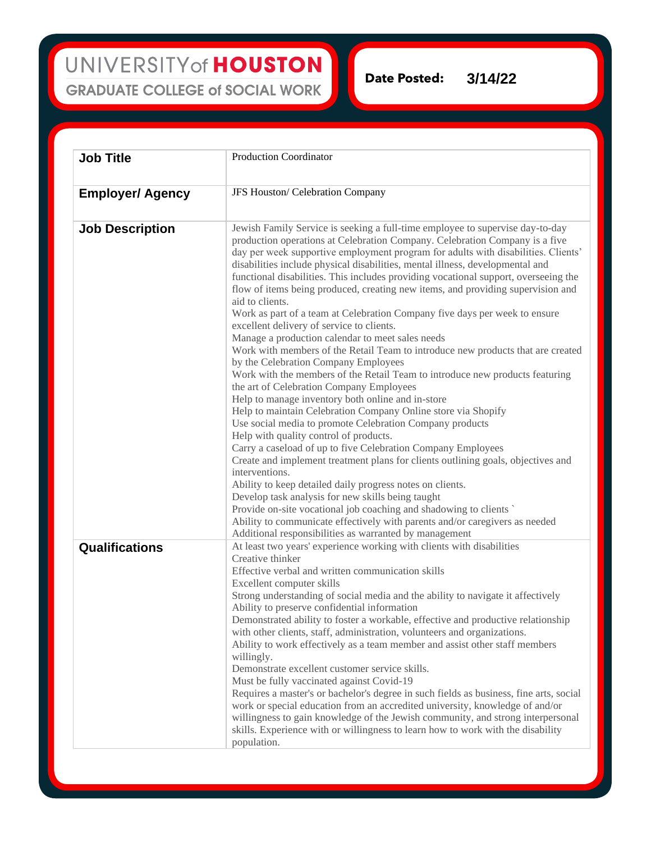UNIVERSITY of HOUSTON **GRADUATE COLLEGE of SOCIAL WORK** 

**Date Posted: 3/14/22**

| <b>Job Title</b>        | <b>Production Coordinator</b>                                                                                                                                                                                                                                                                                                                                                                                                                                                                                                                                                                                                                                                                                                                                                                                                                                                                                                                                                                                                                                                                                                                                                                                                                                                                                                                                                                                                                                                                                                                                                                                                                                                                          |
|-------------------------|--------------------------------------------------------------------------------------------------------------------------------------------------------------------------------------------------------------------------------------------------------------------------------------------------------------------------------------------------------------------------------------------------------------------------------------------------------------------------------------------------------------------------------------------------------------------------------------------------------------------------------------------------------------------------------------------------------------------------------------------------------------------------------------------------------------------------------------------------------------------------------------------------------------------------------------------------------------------------------------------------------------------------------------------------------------------------------------------------------------------------------------------------------------------------------------------------------------------------------------------------------------------------------------------------------------------------------------------------------------------------------------------------------------------------------------------------------------------------------------------------------------------------------------------------------------------------------------------------------------------------------------------------------------------------------------------------------|
|                         |                                                                                                                                                                                                                                                                                                                                                                                                                                                                                                                                                                                                                                                                                                                                                                                                                                                                                                                                                                                                                                                                                                                                                                                                                                                                                                                                                                                                                                                                                                                                                                                                                                                                                                        |
| <b>Employer/ Agency</b> | JFS Houston/ Celebration Company                                                                                                                                                                                                                                                                                                                                                                                                                                                                                                                                                                                                                                                                                                                                                                                                                                                                                                                                                                                                                                                                                                                                                                                                                                                                                                                                                                                                                                                                                                                                                                                                                                                                       |
| <b>Job Description</b>  | Jewish Family Service is seeking a full-time employee to supervise day-to-day<br>production operations at Celebration Company. Celebration Company is a five<br>day per week supportive employment program for adults with disabilities. Clients'<br>disabilities include physical disabilities, mental illness, developmental and<br>functional disabilities. This includes providing vocational support, overseeing the<br>flow of items being produced, creating new items, and providing supervision and<br>aid to clients.<br>Work as part of a team at Celebration Company five days per week to ensure<br>excellent delivery of service to clients.<br>Manage a production calendar to meet sales needs<br>Work with members of the Retail Team to introduce new products that are created<br>by the Celebration Company Employees<br>Work with the members of the Retail Team to introduce new products featuring<br>the art of Celebration Company Employees<br>Help to manage inventory both online and in-store<br>Help to maintain Celebration Company Online store via Shopify<br>Use social media to promote Celebration Company products<br>Help with quality control of products.<br>Carry a caseload of up to five Celebration Company Employees<br>Create and implement treatment plans for clients outlining goals, objectives and<br>interventions.<br>Ability to keep detailed daily progress notes on clients.<br>Develop task analysis for new skills being taught<br>Provide on-site vocational job coaching and shadowing to clients<br>Ability to communicate effectively with parents and/or caregivers as needed<br>Additional responsibilities as warranted by management |
| <b>Qualifications</b>   | At least two years' experience working with clients with disabilities<br>Creative thinker<br>Effective verbal and written communication skills<br>Excellent computer skills<br>Strong understanding of social media and the ability to navigate it affectively<br>Ability to preserve confidential information<br>Demonstrated ability to foster a workable, effective and productive relationship<br>with other clients, staff, administration, volunteers and organizations.<br>Ability to work effectively as a team member and assist other staff members<br>willingly.<br>Demonstrate excellent customer service skills.<br>Must be fully vaccinated against Covid-19<br>Requires a master's or bachelor's degree in such fields as business, fine arts, social<br>work or special education from an accredited university, knowledge of and/or<br>willingness to gain knowledge of the Jewish community, and strong interpersonal<br>skills. Experience with or willingness to learn how to work with the disability<br>population.                                                                                                                                                                                                                                                                                                                                                                                                                                                                                                                                                                                                                                                              |